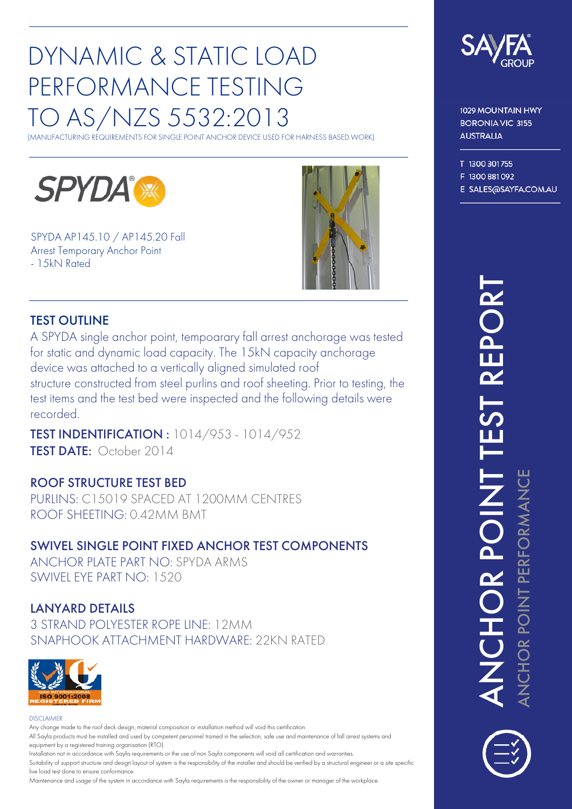# DYNAMIC & STATIC LOAD PERFORMANCE TESTING TO AS/NZS 5532:2013

(MANUFACTURING REQUIREMENTS FOR SINGLE POINT ANCHOR DEVICE USED FOR HARNESS BASED WORK)



SPYDA AP145.10 / AP145.20 Fall Arrest Temporary Anchor Point - 15kN Rated



#### TEST OUTLINE

 structure constructed from steel purlins and roof sheeting. Prior to testing, the device was attached to <sup>a</sup> vertically aligned simulated roof for static and dynamic load capacity. The 15kN capacity anchorage A SPYDA single anchor point, tempoarary fall arrest anchorage was tested test items and the test bed were inspected and the following details were recorded.

TEST DATE: October 2014 TEST INDENTIFICATION : 1014/953 - 1014/952

#### ROOF STRUCTURE TEST BED

PURLINS: C15019 SPACED AT 1200MM CENTRES<br>ROOF SHEETING: 0.42MM BMT<br>CU/INCLOUGLE BOULT EIVER 1NGLOB TECT COURCLIENTS PURLINS: C15019 SPACED AT 1200MM CENTRES ROOF SHEETING: 0.42MM BMT

#### SWIVEL SINGLE POINT FIXED ANCHOR TEST COMPONENTS

 ANCHOR PLATE PART NO: SPYDA ARMS SWIVEL EYE PART NO: 1520

## LANYARD DETAILS

 SNAPHOOK ATTACHMENT HARDWARE: 22KN RATED3 STRAND POLYESTER ROPE LINE: 12MM



#### DISCLAIMER

Any change made to the roof deck design, material composition or installation method will void this certification All Sayfa products must be installed and used by competent personnel trained in the selection, safe use and maintenance of fall arrest systems and equipment by <sup>a</sup> registered training organisation (RTO).

Installation not in accordance with Sayfa requirements or the use of non Sayfa components will void all certification and warranties. Suitability of suppor<sup>t</sup> structure and design layout of system is the responsibility of the installer and should be verified by <sup>a</sup> structural engineer or <sup>a</sup> site specific live load test done to ensure conformance.

Maintenance and usage of the system in accordance with Sayfa requirements is the responsibility of the owner or manager of the workplace.



1029 MOUNTAIN HWY **BORONIA VIC 3155 AUSTRALIA** 

T 1300 301755

F 1300 881 092

E SALES@SAYFA.COM.AU

#### $\blacktriangleleft$  $\mathbf{Z}% _{M_{1},M_{2}}^{\ast}\mathbf{Z}_{M_{1},M_{2}}^{\ast}$  $\bigcup$ HO $\sim$  $\mathsf{\Omega}$  .  $\vdash$ TE $\boldsymbol{\mathcal{S}}$  $\vdash$  $\boldsymbol{\alpha}$ E $\mathsf{\Omega}$  . O $\boldsymbol{\alpha}$ T $\blacktriangleleft$ Z  $\mathbf{\mathbf{C}}$ 工 O $\mathbf{r}$ ௨ <u>on de la contrada de la contrada de la contrada de la contrada de la contrada de la contrada de la contrada d</u>  $\mathord{\vdash}\,$ ௨ ய  $\mathbf{r}$ ட O $\mathbf{r}$  $\boldsymbol{\Sigma}$  $\blacktriangleleft$ Z  $\mathbf{\mathbf{C}}$ ய